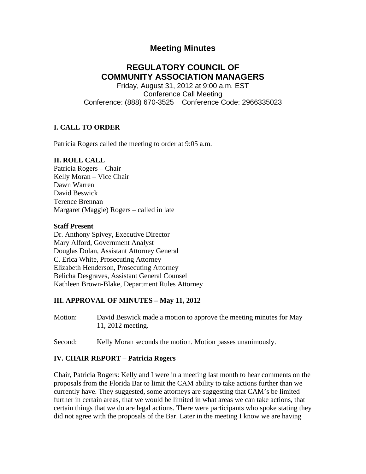# **Meeting Minutes**

# **REGULATORY COUNCIL OF COMMUNITY ASSOCIATION MANAGERS**

Friday, August 31, 2012 at 9:00 a.m. EST Conference Call Meeting Conference: (888) 670-3525 Conference Code: 2966335023

### **I. CALL TO ORDER**

Patricia Rogers called the meeting to order at 9:05 a.m.

### **II. ROLL CALL**

Patricia Rogers – Chair Kelly Moran – Vice Chair Dawn Warren David Beswick Terence Brennan Margaret (Maggie) Rogers – called in late

#### **Staff Present**

Dr. Anthony Spivey, Executive Director Mary Alford, Government Analyst Douglas Dolan, Assistant Attorney General C. Erica White, Prosecuting Attorney Elizabeth Henderson, Prosecuting Attorney Belicha Desgraves, Assistant General Counsel Kathleen Brown-Blake, Department Rules Attorney

#### **III. APPROVAL OF MINUTES – May 11, 2012**

- Motion: David Beswick made a motion to approve the meeting minutes for May 11, 2012 meeting.
- Second: Kelly Moran seconds the motion. Motion passes unanimously.

#### **IV. CHAIR REPORT – Patricia Rogers**

Chair, Patricia Rogers: Kelly and I were in a meeting last month to hear comments on the proposals from the Florida Bar to limit the CAM ability to take actions further than we currently have. They suggested, some attorneys are suggesting that CAM's be limited further in certain areas, that we would be limited in what areas we can take actions, that certain things that we do are legal actions. There were participants who spoke stating they did not agree with the proposals of the Bar. Later in the meeting I know we are having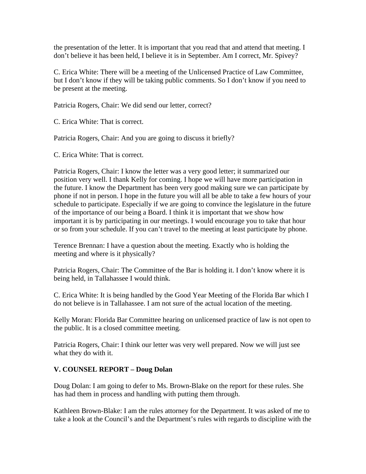the presentation of the letter. It is important that you read that and attend that meeting. I don't believe it has been held, I believe it is in September. Am I correct, Mr. Spivey?

C. Erica White: There will be a meeting of the Unlicensed Practice of Law Committee, but I don't know if they will be taking public comments. So I don't know if you need to be present at the meeting.

Patricia Rogers, Chair: We did send our letter, correct?

C. Erica White: That is correct.

Patricia Rogers, Chair: And you are going to discuss it briefly?

C. Erica White: That is correct.

Patricia Rogers, Chair: I know the letter was a very good letter; it summarized our position very well. I thank Kelly for coming. I hope we will have more participation in the future. I know the Department has been very good making sure we can participate by phone if not in person. I hope in the future you will all be able to take a few hours of your schedule to participate. Especially if we are going to convince the legislature in the future of the importance of our being a Board. I think it is important that we show how important it is by participating in our meetings. I would encourage you to take that hour or so from your schedule. If you can't travel to the meeting at least participate by phone.

Terence Brennan: I have a question about the meeting. Exactly who is holding the meeting and where is it physically?

Patricia Rogers, Chair: The Committee of the Bar is holding it. I don't know where it is being held, in Tallahassee I would think.

C. Erica White: It is being handled by the Good Year Meeting of the Florida Bar which I do not believe is in Tallahassee. I am not sure of the actual location of the meeting.

Kelly Moran: Florida Bar Committee hearing on unlicensed practice of law is not open to the public. It is a closed committee meeting.

Patricia Rogers, Chair: I think our letter was very well prepared. Now we will just see what they do with it.

### **V. COUNSEL REPORT – Doug Dolan**

Doug Dolan: I am going to defer to Ms. Brown-Blake on the report for these rules. She has had them in process and handling with putting them through.

Kathleen Brown-Blake: I am the rules attorney for the Department. It was asked of me to take a look at the Council's and the Department's rules with regards to discipline with the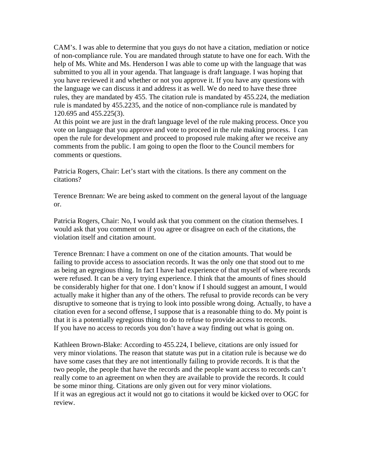CAM's. I was able to determine that you guys do not have a citation, mediation or notice of non-compliance rule. You are mandated through statute to have one for each. With the help of Ms. White and Ms. Henderson I was able to come up with the language that was submitted to you all in your agenda. That language is draft language. I was hoping that you have reviewed it and whether or not you approve it. If you have any questions with the language we can discuss it and address it as well. We do need to have these three rules, they are mandated by 455. The citation rule is mandated by 455.224, the mediation rule is mandated by 455.2235, and the notice of non-compliance rule is mandated by 120.695 and 455.225(3).

At this point we are just in the draft language level of the rule making process. Once you vote on language that you approve and vote to proceed in the rule making process. I can open the rule for development and proceed to proposed rule making after we receive any comments from the public. I am going to open the floor to the Council members for comments or questions.

Patricia Rogers, Chair: Let's start with the citations. Is there any comment on the citations?

Terence Brennan: We are being asked to comment on the general layout of the language or.

Patricia Rogers, Chair: No, I would ask that you comment on the citation themselves. I would ask that you comment on if you agree or disagree on each of the citations, the violation itself and citation amount.

Terence Brennan: I have a comment on one of the citation amounts. That would be failing to provide access to association records. It was the only one that stood out to me as being an egregious thing. In fact I have had experience of that myself of where records were refused. It can be a very trying experience. I think that the amounts of fines should be considerably higher for that one. I don't know if I should suggest an amount, I would actually make it higher than any of the others. The refusal to provide records can be very disruptive to someone that is trying to look into possible wrong doing. Actually, to have a citation even for a second offense, I suppose that is a reasonable thing to do. My point is that it is a potentially egregious thing to do to refuse to provide access to records. If you have no access to records you don't have a way finding out what is going on.

Kathleen Brown-Blake: According to 455.224, I believe, citations are only issued for very minor violations. The reason that statute was put in a citation rule is because we do have some cases that they are not intentionally failing to provide records. It is that the two people, the people that have the records and the people want access to records can't really come to an agreement on when they are available to provide the records. It could be some minor thing. Citations are only given out for very minor violations. If it was an egregious act it would not go to citations it would be kicked over to OGC for review.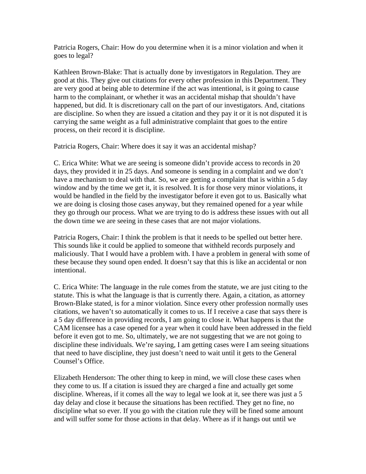Patricia Rogers, Chair: How do you determine when it is a minor violation and when it goes to legal?

Kathleen Brown-Blake: That is actually done by investigators in Regulation. They are good at this. They give out citations for every other profession in this Department. They are very good at being able to determine if the act was intentional, is it going to cause harm to the complainant, or whether it was an accidental mishap that shouldn't have happened, but did. It is discretionary call on the part of our investigators. And, citations are discipline. So when they are issued a citation and they pay it or it is not disputed it is carrying the same weight as a full administrative complaint that goes to the entire process, on their record it is discipline.

Patricia Rogers, Chair: Where does it say it was an accidental mishap?

C. Erica White: What we are seeing is someone didn't provide access to records in 20 days, they provided it in 25 days. And someone is sending in a complaint and we don't have a mechanism to deal with that. So, we are getting a complaint that is within a 5 day window and by the time we get it, it is resolved. It is for those very minor violations, it would be handled in the field by the investigator before it even got to us. Basically what we are doing is closing those cases anyway, but they remained opened for a year while they go through our process. What we are trying to do is address these issues with out all the down time we are seeing in these cases that are not major violations.

Patricia Rogers, Chair: I think the problem is that it needs to be spelled out better here. This sounds like it could be applied to someone that withheld records purposely and maliciously. That I would have a problem with. I have a problem in general with some of these because they sound open ended. It doesn't say that this is like an accidental or non intentional.

C. Erica White: The language in the rule comes from the statute, we are just citing to the statute. This is what the language is that is currently there. Again, a citation, as attorney Brown-Blake stated, is for a minor violation. Since every other profession normally uses citations, we haven't so automatically it comes to us. If I receive a case that says there is a 5 day difference in providing records, I am going to close it. What happens is that the CAM licensee has a case opened for a year when it could have been addressed in the field before it even got to me. So, ultimately, we are not suggesting that we are not going to discipline these individuals. We're saying, I am getting cases were I am seeing situations that need to have discipline, they just doesn't need to wait until it gets to the General Counsel's Office.

Elizabeth Henderson: The other thing to keep in mind, we will close these cases when they come to us. If a citation is issued they are charged a fine and actually get some discipline. Whereas, if it comes all the way to legal we look at it, see there was just a 5 day delay and close it because the situations has been rectified. They get no fine, no discipline what so ever. If you go with the citation rule they will be fined some amount and will suffer some for those actions in that delay. Where as if it hangs out until we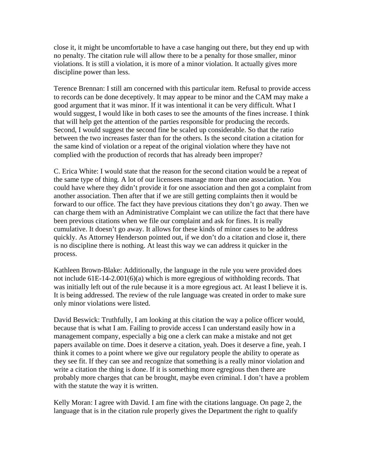close it, it might be uncomfortable to have a case hanging out there, but they end up with no penalty. The citation rule will allow there to be a penalty for those smaller, minor violations. It is still a violation, it is more of a minor violation. It actually gives more discipline power than less.

Terence Brennan: I still am concerned with this particular item. Refusal to provide access to records can be done deceptively. It may appear to be minor and the CAM may make a good argument that it was minor. If it was intentional it can be very difficult. What I would suggest, I would like in both cases to see the amounts of the fines increase. I think that will help get the attention of the parties responsible for producing the records. Second, I would suggest the second fine be scaled up considerable. So that the ratio between the two increases faster than for the others. Is the second citation a citation for the same kind of violation or a repeat of the original violation where they have not complied with the production of records that has already been improper?

C. Erica White: I would state that the reason for the second citation would be a repeat of the same type of thing. A lot of our licensees manage more than one association. You could have where they didn't provide it for one association and then got a complaint from another association. Then after that if we are still getting complaints then it would be forward to our office. The fact they have previous citations they don't go away. Then we can charge them with an Administrative Complaint we can utilize the fact that there have been previous citations when we file our complaint and ask for fines. It is really cumulative. It doesn't go away. It allows for these kinds of minor cases to be address quickly. As Attorney Henderson pointed out, if we don't do a citation and close it, there is no discipline there is nothing. At least this way we can address it quicker in the process.

Kathleen Brown-Blake: Additionally, the language in the rule you were provided does not include 61E-14-2.001(6)(a) which is more egregious of withholding records. That was initially left out of the rule because it is a more egregious act. At least I believe it is. It is being addressed. The review of the rule language was created in order to make sure only minor violations were listed.

David Beswick: Truthfully, I am looking at this citation the way a police officer would, because that is what I am. Failing to provide access I can understand easily how in a management company, especially a big one a clerk can make a mistake and not get papers available on time. Does it deserve a citation, yeah. Does it deserve a fine, yeah. I think it comes to a point where we give our regulatory people the ability to operate as they see fit. If they can see and recognize that something is a really minor violation and write a citation the thing is done. If it is something more egregious then there are probably more charges that can be brought, maybe even criminal. I don't have a problem with the statute the way it is written.

Kelly Moran: I agree with David. I am fine with the citations language. On page 2, the language that is in the citation rule properly gives the Department the right to qualify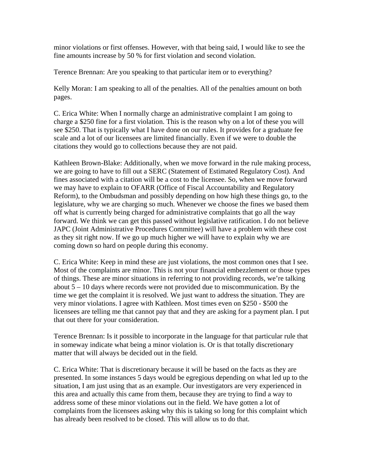minor violations or first offenses. However, with that being said, I would like to see the fine amounts increase by 50 % for first violation and second violation.

Terence Brennan: Are you speaking to that particular item or to everything?

Kelly Moran: I am speaking to all of the penalties. All of the penalties amount on both pages.

C. Erica White: When I normally charge an administrative complaint I am going to charge a \$250 fine for a first violation. This is the reason why on a lot of these you will see \$250. That is typically what I have done on our rules. It provides for a graduate fee scale and a lot of our licensees are limited financially. Even if we were to double the citations they would go to collections because they are not paid.

Kathleen Brown-Blake: Additionally, when we move forward in the rule making process, we are going to have to fill out a SERC (Statement of Estimated Regulatory Cost). And fines associated with a citation will be a cost to the licensee. So, when we move forward we may have to explain to OFARR (Office of Fiscal Accountability and Regulatory Reform), to the Ombudsman and possibly depending on how high these things go, to the legislature, why we are charging so much. Whenever we choose the fines we based them off what is currently being charged for administrative complaints that go all the way forward. We think we can get this passed without legislative ratification. I do not believe JAPC (Joint Administrative Procedures Committee) will have a problem with these cost as they sit right now. If we go up much higher we will have to explain why we are coming down so hard on people during this economy.

C. Erica White: Keep in mind these are just violations, the most common ones that I see. Most of the complaints are minor. This is not your financial embezzlement or those types of things. These are minor situations in referring to not providing records, we're talking about 5 – 10 days where records were not provided due to miscommunication. By the time we get the complaint it is resolved. We just want to address the situation. They are very minor violations. I agree with Kathleen. Most times even on \$250 - \$500 the licensees are telling me that cannot pay that and they are asking for a payment plan. I put that out there for your consideration.

Terence Brennan: Is it possible to incorporate in the language for that particular rule that in someway indicate what being a minor violation is. Or is that totally discretionary matter that will always be decided out in the field.

C. Erica White: That is discretionary because it will be based on the facts as they are presented. In some instances 5 days would be egregious depending on what led up to the situation, I am just using that as an example. Our investigators are very experienced in this area and actually this came from them, because they are trying to find a way to address some of these minor violations out in the field. We have gotten a lot of complaints from the licensees asking why this is taking so long for this complaint which has already been resolved to be closed. This will allow us to do that.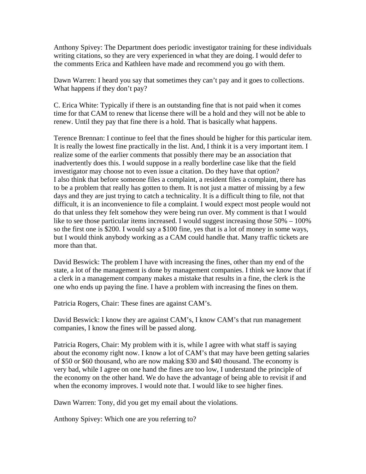Anthony Spivey: The Department does periodic investigator training for these individuals writing citations, so they are very experienced in what they are doing. I would defer to the comments Erica and Kathleen have made and recommend you go with them.

Dawn Warren: I heard you say that sometimes they can't pay and it goes to collections. What happens if they don't pay?

C. Erica White: Typically if there is an outstanding fine that is not paid when it comes time for that CAM to renew that license there will be a hold and they will not be able to renew. Until they pay that fine there is a hold. That is basically what happens.

Terence Brennan: I continue to feel that the fines should be higher for this particular item. It is really the lowest fine practically in the list. And, I think it is a very important item. I realize some of the earlier comments that possibly there may be an association that inadvertently does this. I would suppose in a really borderline case like that the field investigator may choose not to even issue a citation. Do they have that option? I also think that before someone files a complaint, a resident files a complaint, there has to be a problem that really has gotten to them. It is not just a matter of missing by a few days and they are just trying to catch a technicality. It is a difficult thing to file, not that difficult, it is an inconvenience to file a complaint. I would expect most people would not do that unless they felt somehow they were being run over. My comment is that I would like to see those particular items increased. I would suggest increasing those 50% – 100% so the first one is \$200. I would say a \$100 fine, yes that is a lot of money in some ways, but I would think anybody working as a CAM could handle that. Many traffic tickets are more than that.

David Beswick: The problem I have with increasing the fines, other than my end of the state, a lot of the management is done by management companies. I think we know that if a clerk in a management company makes a mistake that results in a fine, the clerk is the one who ends up paying the fine. I have a problem with increasing the fines on them.

Patricia Rogers, Chair: These fines are against CAM's.

David Beswick: I know they are against CAM's, I know CAM's that run management companies, I know the fines will be passed along.

Patricia Rogers, Chair: My problem with it is, while I agree with what staff is saying about the economy right now. I know a lot of CAM's that may have been getting salaries of \$50 or \$60 thousand, who are now making \$30 and \$40 thousand. The economy is very bad, while I agree on one hand the fines are too low, I understand the principle of the economy on the other hand. We do have the advantage of being able to revisit if and when the economy improves. I would note that. I would like to see higher fines.

Dawn Warren: Tony, did you get my email about the violations.

Anthony Spivey: Which one are you referring to?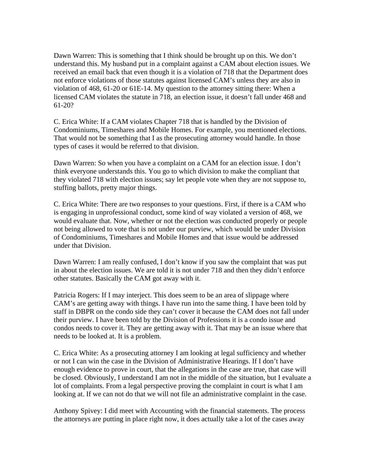Dawn Warren: This is something that I think should be brought up on this. We don't understand this. My husband put in a complaint against a CAM about election issues. We received an email back that even though it is a violation of 718 that the Department does not enforce violations of those statutes against licensed CAM's unless they are also in violation of 468, 61-20 or 61E-14. My question to the attorney sitting there: When a licensed CAM violates the statute in 718, an election issue, it doesn't fall under 468 and 61-20?

C. Erica White: If a CAM violates Chapter 718 that is handled by the Division of Condominiums, Timeshares and Mobile Homes. For example, you mentioned elections. That would not be something that I as the prosecuting attorney would handle. In those types of cases it would be referred to that division.

Dawn Warren: So when you have a complaint on a CAM for an election issue. I don't think everyone understands this. You go to which division to make the compliant that they violated 718 with election issues; say let people vote when they are not suppose to, stuffing ballots, pretty major things.

C. Erica White: There are two responses to your questions. First, if there is a CAM who is engaging in unprofessional conduct, some kind of way violated a version of 468, we would evaluate that. Now, whether or not the election was conducted properly or people not being allowed to vote that is not under our purview, which would be under Division of Condominiums, Timeshares and Mobile Homes and that issue would be addressed under that Division.

Dawn Warren: I am really confused, I don't know if you saw the complaint that was put in about the election issues. We are told it is not under 718 and then they didn't enforce other statutes. Basically the CAM got away with it.

Patricia Rogers: If I may interject. This does seem to be an area of slippage where CAM's are getting away with things. I have run into the same thing. I have been told by staff in DBPR on the condo side they can't cover it because the CAM does not fall under their purview. I have been told by the Division of Professions it is a condo issue and condos needs to cover it. They are getting away with it. That may be an issue where that needs to be looked at. It is a problem.

C. Erica White: As a prosecuting attorney I am looking at legal sufficiency and whether or not I can win the case in the Division of Administrative Hearings. If I don't have enough evidence to prove in court, that the allegations in the case are true, that case will be closed. Obviously, I understand I am not in the middle of the situation, but I evaluate a lot of complaints. From a legal perspective proving the complaint in court is what I am looking at. If we can not do that we will not file an administrative complaint in the case.

Anthony Spivey: I did meet with Accounting with the financial statements. The process the attorneys are putting in place right now, it does actually take a lot of the cases away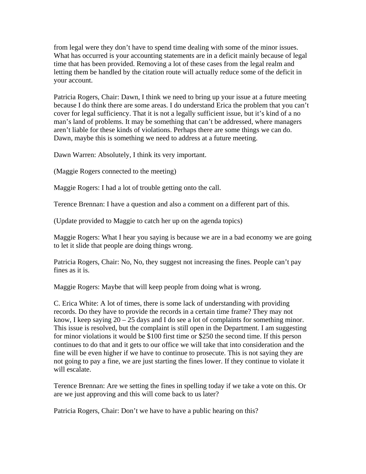from legal were they don't have to spend time dealing with some of the minor issues. What has occurred is your accounting statements are in a deficit mainly because of legal time that has been provided. Removing a lot of these cases from the legal realm and letting them be handled by the citation route will actually reduce some of the deficit in your account.

Patricia Rogers, Chair: Dawn, I think we need to bring up your issue at a future meeting because I do think there are some areas. I do understand Erica the problem that you can't cover for legal sufficiency. That it is not a legally sufficient issue, but it's kind of a no man's land of problems. It may be something that can't be addressed, where managers aren't liable for these kinds of violations. Perhaps there are some things we can do. Dawn, maybe this is something we need to address at a future meeting.

Dawn Warren: Absolutely, I think its very important.

(Maggie Rogers connected to the meeting)

Maggie Rogers: I had a lot of trouble getting onto the call.

Terence Brennan: I have a question and also a comment on a different part of this.

(Update provided to Maggie to catch her up on the agenda topics)

Maggie Rogers: What I hear you saying is because we are in a bad economy we are going to let it slide that people are doing things wrong.

Patricia Rogers, Chair: No, No, they suggest not increasing the fines. People can't pay fines as it is.

Maggie Rogers: Maybe that will keep people from doing what is wrong.

C. Erica White: A lot of times, there is some lack of understanding with providing records. Do they have to provide the records in a certain time frame? They may not know, I keep saying  $20 - 25$  days and I do see a lot of complaints for something minor. This issue is resolved, but the complaint is still open in the Department. I am suggesting for minor violations it would be \$100 first time or \$250 the second time. If this person continues to do that and it gets to our office we will take that into consideration and the fine will be even higher if we have to continue to prosecute. This is not saying they are not going to pay a fine, we are just starting the fines lower. If they continue to violate it will escalate.

Terence Brennan: Are we setting the fines in spelling today if we take a vote on this. Or are we just approving and this will come back to us later?

Patricia Rogers, Chair: Don't we have to have a public hearing on this?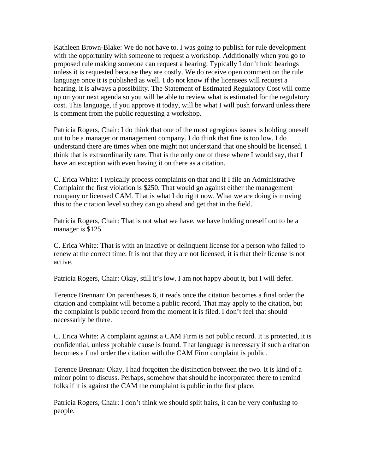Kathleen Brown-Blake: We do not have to. I was going to publish for rule development with the opportunity with someone to request a workshop. Additionally when you go to proposed rule making someone can request a hearing. Typically I don't hold hearings unless it is requested because they are costly. We do receive open comment on the rule language once it is published as well. I do not know if the licensees will request a hearing, it is always a possibility. The Statement of Estimated Regulatory Cost will come up on your next agenda so you will be able to review what is estimated for the regulatory cost. This language, if you approve it today, will be what I will push forward unless there is comment from the public requesting a workshop.

Patricia Rogers, Chair: I do think that one of the most egregious issues is holding oneself out to be a manager or management company. I do think that fine is too low. I do understand there are times when one might not understand that one should be licensed. I think that is extraordinarily rare. That is the only one of these where I would say, that I have an exception with even having it on there as a citation.

C. Erica White: I typically process complaints on that and if I file an Administrative Complaint the first violation is \$250. That would go against either the management company or licensed CAM. That is what I do right now. What we are doing is moving this to the citation level so they can go ahead and get that in the field.

Patricia Rogers, Chair: That is not what we have, we have holding oneself out to be a manager is \$125.

C. Erica White: That is with an inactive or delinquent license for a person who failed to renew at the correct time. It is not that they are not licensed, it is that their license is not active.

Patricia Rogers, Chair: Okay, still it's low. I am not happy about it, but I will defer.

Terence Brennan: On parentheses 6, it reads once the citation becomes a final order the citation and complaint will become a public record. That may apply to the citation, but the complaint is public record from the moment it is filed. I don't feel that should necessarily be there.

C. Erica White: A complaint against a CAM Firm is not public record. It is protected, it is confidential, unless probable cause is found. That language is necessary if such a citation becomes a final order the citation with the CAM Firm complaint is public.

Terence Brennan: Okay, I had forgotten the distinction between the two. It is kind of a minor point to discuss. Perhaps, somehow that should be incorporated there to remind folks if it is against the CAM the complaint is public in the first place.

Patricia Rogers, Chair: I don't think we should split hairs, it can be very confusing to people.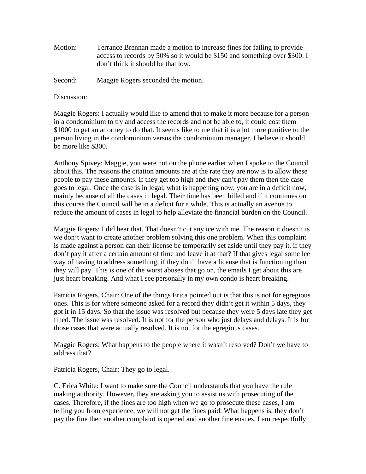Motion: Terrance Brennan made a motion to increase fines for failing to provide access to records by 50% so it would be \$150 and something over \$300. I don't think it should be that low.

Second: Maggie Rogers seconded the motion.

Discussion:

Maggie Rogers: I actually would like to amend that to make it more because for a person in a condominium to try and access the records and not be able to, it could cost them \$1000 to get an attorney to do that. It seems like to me that it is a lot more punitive to the person living in the condominium versus the condominium manager. I believe it should be more like \$300.

Anthony Spivey: Maggie, you were not on the phone earlier when I spoke to the Council about this. The reasons the citation amounts are at the rate they are now is to allow these people to pay these amounts. If they get too high and they can't pay them then the case goes to legal. Once the case is in legal, what is happening now, you are in a deficit now, mainly because of all the cases in legal. Their time has been billed and if it continues on this course the Council will be in a deficit for a while. This is actually an avenue to reduce the amount of cases in legal to help alleviate the financial burden on the Council.

Maggie Rogers: I did hear that. That doesn't cut any ice with me. The reason it doesn't is we don't want to create another problem solving this one problem. When this complaint is made against a person can their license be temporarily set aside until they pay it, if they don't pay it after a certain amount of time and leave it at that? If that gives legal some lee way of having to address something, if they don't have a license that is functioning then they will pay. This is one of the worst abuses that go on, the emails I get about this are just heart breaking. And what I see personally in my own condo is heart breaking.

Patricia Rogers, Chair: One of the things Erica pointed out is that this is not for egregious ones. This is for where someone asked for a record they didn't get it within 5 days, they got it in 15 days. So that the issue was resolved but because they were 5 days late they get fined. The issue was resolved. It is not for the person who just delays and delays. It is for those cases that were actually resolved. It is not for the egregious cases.

Maggie Rogers: What happens to the people where it wasn't resolved? Don't we have to address that?

Patricia Rogers, Chair: They go to legal.

C. Erica White: I want to make sure the Council understands that you have the rule making authority. However, they are asking you to assist us with prosecuting of the cases. Therefore, if the fines are too high when we go to prosecute these cases, I am telling you from experience, we will not get the fines paid. What happens is, they don't pay the fine then another complaint is opened and another fine ensues. I am respectfully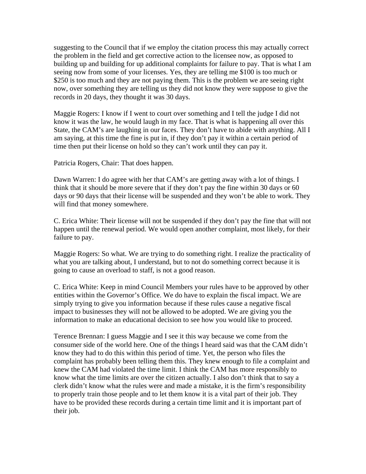suggesting to the Council that if we employ the citation process this may actually correct the problem in the field and get corrective action to the licensee now, as opposed to building up and building for up additional complaints for failure to pay. That is what I am seeing now from some of your licenses. Yes, they are telling me \$100 is too much or \$250 is too much and they are not paying them. This is the problem we are seeing right now, over something they are telling us they did not know they were suppose to give the records in 20 days, they thought it was 30 days.

Maggie Rogers: I know if I went to court over something and I tell the judge I did not know it was the law, he would laugh in my face. That is what is happening all over this State, the CAM's are laughing in our faces. They don't have to abide with anything. All I am saying, at this time the fine is put in, if they don't pay it within a certain period of time then put their license on hold so they can't work until they can pay it.

Patricia Rogers, Chair: That does happen.

Dawn Warren: I do agree with her that CAM's are getting away with a lot of things. I think that it should be more severe that if they don't pay the fine within 30 days or 60 days or 90 days that their license will be suspended and they won't be able to work. They will find that money somewhere.

C. Erica White: Their license will not be suspended if they don't pay the fine that will not happen until the renewal period. We would open another complaint, most likely, for their failure to pay.

Maggie Rogers: So what. We are trying to do something right. I realize the practicality of what you are talking about, I understand, but to not do something correct because it is going to cause an overload to staff, is not a good reason.

C. Erica White: Keep in mind Council Members your rules have to be approved by other entities within the Governor's Office. We do have to explain the fiscal impact. We are simply trying to give you information because if these rules cause a negative fiscal impact to businesses they will not be allowed to be adopted. We are giving you the information to make an educational decision to see how you would like to proceed.

Terence Brennan: I guess Maggie and I see it this way because we come from the consumer side of the world here. One of the things I heard said was that the CAM didn't know they had to do this within this period of time. Yet, the person who files the complaint has probably been telling them this. They knew enough to file a complaint and knew the CAM had violated the time limit. I think the CAM has more responsibly to know what the time limits are over the citizen actually. I also don't think that to say a clerk didn't know what the rules were and made a mistake, it is the firm's responsibility to properly train those people and to let them know it is a vital part of their job. They have to be provided these records during a certain time limit and it is important part of their job.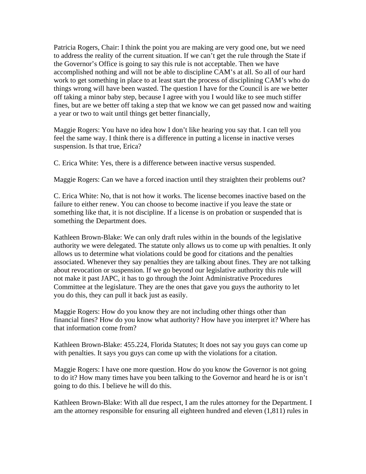Patricia Rogers, Chair: I think the point you are making are very good one, but we need to address the reality of the current situation. If we can't get the rule through the State if the Governor's Office is going to say this rule is not acceptable. Then we have accomplished nothing and will not be able to discipline CAM's at all. So all of our hard work to get something in place to at least start the process of disciplining CAM's who do things wrong will have been wasted. The question I have for the Council is are we better off taking a minor baby step, because I agree with you I would like to see much stiffer fines, but are we better off taking a step that we know we can get passed now and waiting a year or two to wait until things get better financially,

Maggie Rogers: You have no idea how I don't like hearing you say that. I can tell you feel the same way. I think there is a difference in putting a license in inactive verses suspension. Is that true, Erica?

C. Erica White: Yes, there is a difference between inactive versus suspended.

Maggie Rogers: Can we have a forced inaction until they straighten their problems out?

C. Erica White: No, that is not how it works. The license becomes inactive based on the failure to either renew. You can choose to become inactive if you leave the state or something like that, it is not discipline. If a license is on probation or suspended that is something the Department does.

Kathleen Brown-Blake: We can only draft rules within in the bounds of the legislative authority we were delegated. The statute only allows us to come up with penalties. It only allows us to determine what violations could be good for citations and the penalties associated. Whenever they say penalties they are talking about fines. They are not talking about revocation or suspension. If we go beyond our legislative authority this rule will not make it past JAPC, it has to go through the Joint Administrative Procedures Committee at the legislature. They are the ones that gave you guys the authority to let you do this, they can pull it back just as easily.

Maggie Rogers: How do you know they are not including other things other than financial fines? How do you know what authority? How have you interpret it? Where has that information come from?

Kathleen Brown-Blake: 455.224, Florida Statutes; It does not say you guys can come up with penalties. It says you guys can come up with the violations for a citation.

Maggie Rogers: I have one more question. How do you know the Governor is not going to do it? How many times have you been talking to the Governor and heard he is or isn't going to do this. I believe he will do this.

Kathleen Brown-Blake: With all due respect, I am the rules attorney for the Department. I am the attorney responsible for ensuring all eighteen hundred and eleven (1,811) rules in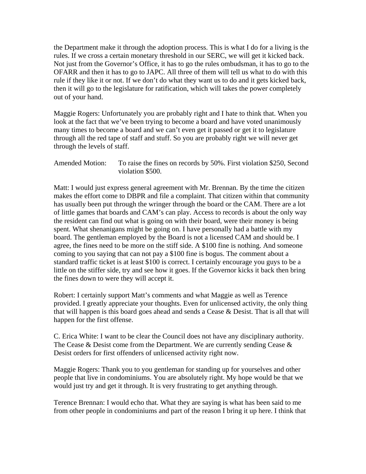the Department make it through the adoption process. This is what I do for a living is the rules. If we cross a certain monetary threshold in our SERC, we will get it kicked back. Not just from the Governor's Office, it has to go the rules ombudsman, it has to go to the OFARR and then it has to go to JAPC. All three of them will tell us what to do with this rule if they like it or not. If we don't do what they want us to do and it gets kicked back, then it will go to the legislature for ratification, which will takes the power completely out of your hand.

Maggie Rogers: Unfortunately you are probably right and I hate to think that. When you look at the fact that we've been trying to become a board and have voted unanimously many times to become a board and we can't even get it passed or get it to legislature through all the red tape of staff and stuff. So you are probably right we will never get through the levels of staff.

Amended Motion: To raise the fines on records by 50%. First violation \$250, Second violation \$500.

Matt: I would just express general agreement with Mr. Brennan. By the time the citizen makes the effort come to DBPR and file a complaint. That citizen within that community has usually been put through the wringer through the board or the CAM. There are a lot of little games that boards and CAM's can play. Access to records is about the only way the resident can find out what is going on with their board, were their money is being spent. What shenanigans might be going on. I have personally had a battle with my board. The gentleman employed by the Board is not a licensed CAM and should be. I agree, the fines need to be more on the stiff side. A \$100 fine is nothing. And someone coming to you saying that can not pay a \$100 fine is bogus. The comment about a standard traffic ticket is at least \$100 is correct. I certainly encourage you guys to be a little on the stiffer side, try and see how it goes. If the Governor kicks it back then bring the fines down to were they will accept it.

Robert: I certainly support Matt's comments and what Maggie as well as Terence provided. I greatly appreciate your thoughts. Even for unlicensed activity, the only thing that will happen is this board goes ahead and sends a Cease  $\&$  Desist. That is all that will happen for the first offense.

C. Erica White: I want to be clear the Council does not have any disciplinary authority. The Cease & Desist come from the Department. We are currently sending Cease & Desist orders for first offenders of unlicensed activity right now.

Maggie Rogers: Thank you to you gentleman for standing up for yourselves and other people that live in condominiums. You are absolutely right. My hope would be that we would just try and get it through. It is very frustrating to get anything through.

Terence Brennan: I would echo that. What they are saying is what has been said to me from other people in condominiums and part of the reason I bring it up here. I think that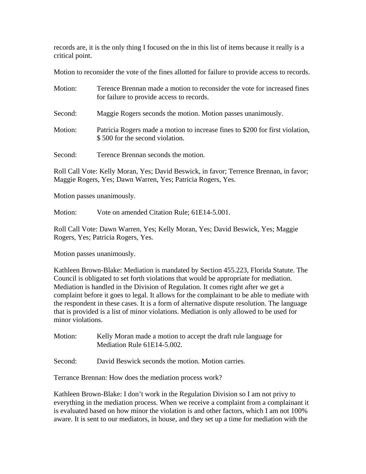records are, it is the only thing I focused on the in this list of items because it really is a critical point.

Motion to reconsider the vote of the fines allotted for failure to provide access to records.

| Motion: | Terence Brennan made a motion to reconsider the vote for increased fines<br>for failure to provide access to records. |
|---------|-----------------------------------------------------------------------------------------------------------------------|
| Second: | Maggie Rogers seconds the motion. Motion passes unanimously.                                                          |
| Motion: | Patricia Rogers made a motion to increase fines to \$200 for first violation,<br>\$500 for the second violation.      |
| Second: | Terence Brennan seconds the motion.                                                                                   |

Roll Call Vote: Kelly Moran, Yes; David Beswick, in favor; Terrence Brennan, in favor; Maggie Rogers, Yes; Dawn Warren, Yes; Patricia Rogers, Yes.

Motion passes unanimously.

Motion: Vote on amended Citation Rule; 61E14-5.001.

Roll Call Vote: Dawn Warren, Yes; Kelly Moran, Yes; David Beswick, Yes; Maggie Rogers, Yes; Patricia Rogers, Yes.

Motion passes unanimously.

Kathleen Brown-Blake: Mediation is mandated by Section 455.223, Florida Statute. The Council is obligated to set forth violations that would be appropriate for mediation. Mediation is handled in the Division of Regulation. It comes right after we get a complaint before it goes to legal. It allows for the complainant to be able to mediate with the respondent in these cases. It is a form of alternative dispute resolution. The language that is provided is a list of minor violations. Mediation is only allowed to be used for minor violations.

Motion: Kelly Moran made a motion to accept the draft rule language for Mediation Rule 61E14-5.002.

Second: David Beswick seconds the motion. Motion carries.

Terrance Brennan: How does the mediation process work?

Kathleen Brown-Blake: I don't work in the Regulation Division so I am not privy to everything in the mediation process. When we receive a complaint from a complainant it is evaluated based on how minor the violation is and other factors, which I am not 100% aware. It is sent to our mediators, in house, and they set up a time for mediation with the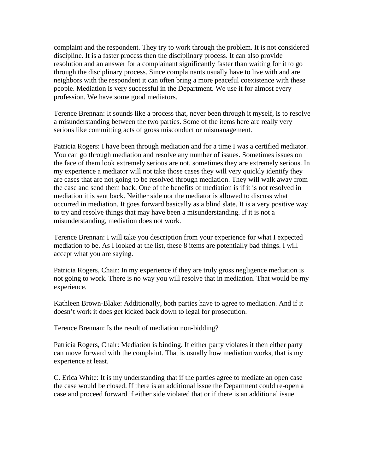complaint and the respondent. They try to work through the problem. It is not considered discipline. It is a faster process then the disciplinary process. It can also provide resolution and an answer for a complainant significantly faster than waiting for it to go through the disciplinary process. Since complainants usually have to live with and are neighbors with the respondent it can often bring a more peaceful coexistence with these people. Mediation is very successful in the Department. We use it for almost every profession. We have some good mediators.

Terence Brennan: It sounds like a process that, never been through it myself, is to resolve a misunderstanding between the two parties. Some of the items here are really very serious like committing acts of gross misconduct or mismanagement.

Patricia Rogers: I have been through mediation and for a time I was a certified mediator. You can go through mediation and resolve any number of issues. Sometimes issues on the face of them look extremely serious are not, sometimes they are extremely serious. In my experience a mediator will not take those cases they will very quickly identify they are cases that are not going to be resolved through mediation. They will walk away from the case and send them back. One of the benefits of mediation is if it is not resolved in mediation it is sent back. Neither side nor the mediator is allowed to discuss what occurred in mediation. It goes forward basically as a blind slate. It is a very positive way to try and resolve things that may have been a misunderstanding. If it is not a misunderstanding, mediation does not work.

Terence Brennan: I will take you description from your experience for what I expected mediation to be. As I looked at the list, these 8 items are potentially bad things. I will accept what you are saying.

Patricia Rogers, Chair: In my experience if they are truly gross negligence mediation is not going to work. There is no way you will resolve that in mediation. That would be my experience.

Kathleen Brown-Blake: Additionally, both parties have to agree to mediation. And if it doesn't work it does get kicked back down to legal for prosecution.

Terence Brennan: Is the result of mediation non-bidding?

Patricia Rogers, Chair: Mediation is binding. If either party violates it then either party can move forward with the complaint. That is usually how mediation works, that is my experience at least.

C. Erica White: It is my understanding that if the parties agree to mediate an open case the case would be closed. If there is an additional issue the Department could re-open a case and proceed forward if either side violated that or if there is an additional issue.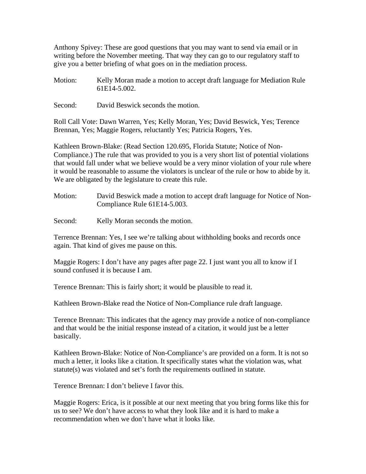Anthony Spivey: These are good questions that you may want to send via email or in writing before the November meeting. That way they can go to our regulatory staff to give you a better briefing of what goes on in the mediation process.

- Motion: Kelly Moran made a motion to accept draft language for Mediation Rule 61E14-5.002.
- Second: David Beswick seconds the motion.

Roll Call Vote: Dawn Warren, Yes; Kelly Moran, Yes; David Beswick, Yes; Terence Brennan, Yes; Maggie Rogers, reluctantly Yes; Patricia Rogers, Yes.

Kathleen Brown-Blake: (Read Section 120.695, Florida Statute; Notice of Non-Compliance.) The rule that was provided to you is a very short list of potential violations that would fall under what we believe would be a very minor violation of your rule where it would be reasonable to assume the violators is unclear of the rule or how to abide by it. We are obligated by the legislature to create this rule.

- Motion: David Beswick made a motion to accept draft language for Notice of Non-Compliance Rule 61E14-5.003.
- Second: Kelly Moran seconds the motion.

Terrence Brennan: Yes, I see we're talking about withholding books and records once again. That kind of gives me pause on this.

Maggie Rogers: I don't have any pages after page 22. I just want you all to know if I sound confused it is because I am.

Terence Brennan: This is fairly short; it would be plausible to read it.

Kathleen Brown-Blake read the Notice of Non-Compliance rule draft language.

Terence Brennan: This indicates that the agency may provide a notice of non-compliance and that would be the initial response instead of a citation, it would just be a letter basically.

Kathleen Brown-Blake: Notice of Non-Compliance's are provided on a form. It is not so much a letter, it looks like a citation. It specifically states what the violation was, what statute(s) was violated and set's forth the requirements outlined in statute.

Terence Brennan: I don't believe I favor this.

Maggie Rogers: Erica, is it possible at our next meeting that you bring forms like this for us to see? We don't have access to what they look like and it is hard to make a recommendation when we don't have what it looks like.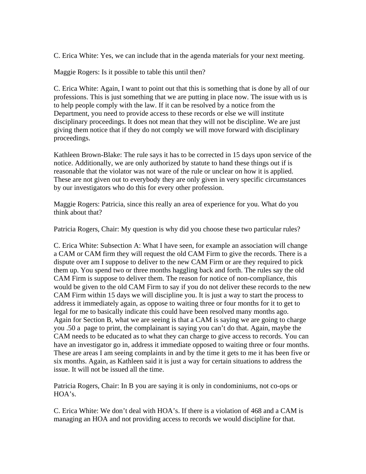C. Erica White: Yes, we can include that in the agenda materials for your next meeting.

Maggie Rogers: Is it possible to table this until then?

C. Erica White: Again, I want to point out that this is something that is done by all of our professions. This is just something that we are putting in place now. The issue with us is to help people comply with the law. If it can be resolved by a notice from the Department, you need to provide access to these records or else we will institute disciplinary proceedings. It does not mean that they will not be discipline. We are just giving them notice that if they do not comply we will move forward with disciplinary proceedings.

Kathleen Brown-Blake: The rule says it has to be corrected in 15 days upon service of the notice. Additionally, we are only authorized by statute to hand these things out if is reasonable that the violator was not ware of the rule or unclear on how it is applied. These are not given out to everybody they are only given in very specific circumstances by our investigators who do this for every other profession.

Maggie Rogers: Patricia, since this really an area of experience for you. What do you think about that?

Patricia Rogers, Chair: My question is why did you choose these two particular rules?

C. Erica White: Subsection A: What I have seen, for example an association will change a CAM or CAM firm they will request the old CAM Firm to give the records. There is a dispute over am I suppose to deliver to the new CAM Firm or are they required to pick them up. You spend two or three months haggling back and forth. The rules say the old CAM Firm is suppose to deliver them. The reason for notice of non-compliance, this would be given to the old CAM Firm to say if you do not deliver these records to the new CAM Firm within 15 days we will discipline you. It is just a way to start the process to address it immediately again, as oppose to waiting three or four months for it to get to legal for me to basically indicate this could have been resolved many months ago. Again for Section B, what we are seeing is that a CAM is saying we are going to charge you .50 a page to print, the complainant is saying you can't do that. Again, maybe the CAM needs to be educated as to what they can charge to give access to records. You can have an investigator go in, address it immediate opposed to waiting three or four months. These are areas I am seeing complaints in and by the time it gets to me it has been five or six months. Again, as Kathleen said it is just a way for certain situations to address the issue. It will not be issued all the time.

Patricia Rogers, Chair: In B you are saying it is only in condominiums, not co-ops or HOA's.

C. Erica White: We don't deal with HOA's. If there is a violation of 468 and a CAM is managing an HOA and not providing access to records we would discipline for that.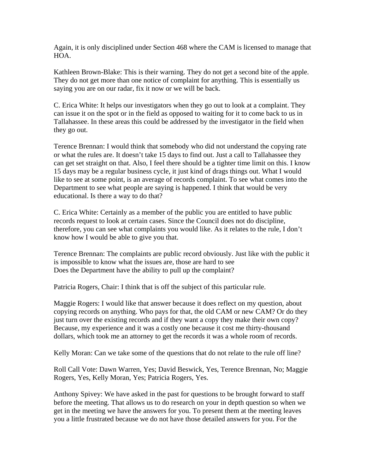Again, it is only disciplined under Section 468 where the CAM is licensed to manage that HOA.

Kathleen Brown-Blake: This is their warning. They do not get a second bite of the apple. They do not get more than one notice of complaint for anything. This is essentially us saying you are on our radar, fix it now or we will be back.

C. Erica White: It helps our investigators when they go out to look at a complaint. They can issue it on the spot or in the field as opposed to waiting for it to come back to us in Tallahassee. In these areas this could be addressed by the investigator in the field when they go out.

Terence Brennan: I would think that somebody who did not understand the copying rate or what the rules are. It doesn't take 15 days to find out. Just a call to Tallahassee they can get set straight on that. Also, I feel there should be a tighter time limit on this. I know 15 days may be a regular business cycle, it just kind of drags things out. What I would like to see at some point, is an average of records complaint. To see what comes into the Department to see what people are saying is happened. I think that would be very educational. Is there a way to do that?

C. Erica White: Certainly as a member of the public you are entitled to have public records request to look at certain cases. Since the Council does not do discipline, therefore, you can see what complaints you would like. As it relates to the rule, I don't know how I would be able to give you that.

Terence Brennan: The complaints are public record obviously. Just like with the public it is impossible to know what the issues are, those are hard to see Does the Department have the ability to pull up the complaint?

Patricia Rogers, Chair: I think that is off the subject of this particular rule.

Maggie Rogers: I would like that answer because it does reflect on my question, about copying records on anything. Who pays for that, the old CAM or new CAM? Or do they just turn over the existing records and if they want a copy they make their own copy? Because, my experience and it was a costly one because it cost me thirty-thousand dollars, which took me an attorney to get the records it was a whole room of records.

Kelly Moran: Can we take some of the questions that do not relate to the rule off line?

Roll Call Vote: Dawn Warren, Yes; David Beswick, Yes, Terence Brennan, No; Maggie Rogers, Yes, Kelly Moran, Yes; Patricia Rogers, Yes.

Anthony Spivey: We have asked in the past for questions to be brought forward to staff before the meeting. That allows us to do research on your in depth question so when we get in the meeting we have the answers for you. To present them at the meeting leaves you a little frustrated because we do not have those detailed answers for you. For the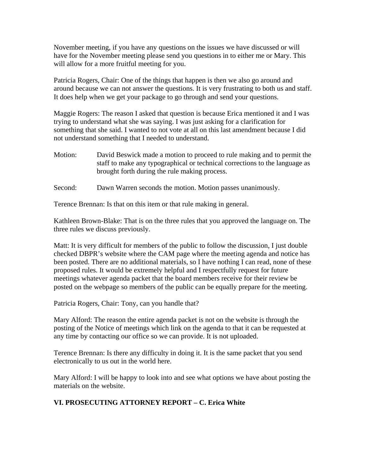November meeting, if you have any questions on the issues we have discussed or will have for the November meeting please send you questions in to either me or Mary. This will allow for a more fruitful meeting for you.

Patricia Rogers, Chair: One of the things that happen is then we also go around and around because we can not answer the questions. It is very frustrating to both us and staff. It does help when we get your package to go through and send your questions.

Maggie Rogers: The reason I asked that question is because Erica mentioned it and I was trying to understand what she was saying. I was just asking for a clarification for something that she said. I wanted to not vote at all on this last amendment because I did not understand something that I needed to understand.

- Motion: David Beswick made a motion to proceed to rule making and to permit the staff to make any typographical or technical corrections to the language as brought forth during the rule making process.
- Second: Dawn Warren seconds the motion. Motion passes unanimously.

Terence Brennan: Is that on this item or that rule making in general.

Kathleen Brown-Blake: That is on the three rules that you approved the language on. The three rules we discuss previously.

Matt: It is very difficult for members of the public to follow the discussion, I just double checked DBPR's website where the CAM page where the meeting agenda and notice has been posted. There are no additional materials, so I have nothing I can read, none of these proposed rules. It would be extremely helpful and I respectfully request for future meetings whatever agenda packet that the board members receive for their review be posted on the webpage so members of the public can be equally prepare for the meeting.

Patricia Rogers, Chair: Tony, can you handle that?

Mary Alford: The reason the entire agenda packet is not on the website is through the posting of the Notice of meetings which link on the agenda to that it can be requested at any time by contacting our office so we can provide. It is not uploaded.

Terence Brennan: Is there any difficulty in doing it. It is the same packet that you send electronically to us out in the world here.

Mary Alford: I will be happy to look into and see what options we have about posting the materials on the website.

### **VI. PROSECUTING ATTORNEY REPORT – C. Erica White**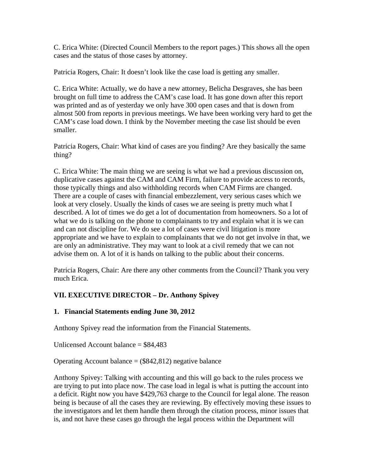C. Erica White: (Directed Council Members to the report pages.) This shows all the open cases and the status of those cases by attorney.

Patricia Rogers, Chair: It doesn't look like the case load is getting any smaller.

C. Erica White: Actually, we do have a new attorney, Belicha Desgraves, she has been brought on full time to address the CAM's case load. It has gone down after this report was printed and as of yesterday we only have 300 open cases and that is down from almost 500 from reports in previous meetings. We have been working very hard to get the CAM's case load down. I think by the November meeting the case list should be even smaller.

Patricia Rogers, Chair: What kind of cases are you finding? Are they basically the same thing?

C. Erica White: The main thing we are seeing is what we had a previous discussion on, duplicative cases against the CAM and CAM Firm, failure to provide access to records, those typically things and also withholding records when CAM Firms are changed. There are a couple of cases with financial embezzlement, very serious cases which we look at very closely. Usually the kinds of cases we are seeing is pretty much what I described. A lot of times we do get a lot of documentation from homeowners. So a lot of what we do is talking on the phone to complainants to try and explain what it is we can and can not discipline for. We do see a lot of cases were civil litigation is more appropriate and we have to explain to complainants that we do not get involve in that, we are only an administrative. They may want to look at a civil remedy that we can not advise them on. A lot of it is hands on talking to the public about their concerns.

Patricia Rogers, Chair: Are there any other comments from the Council? Thank you very much Erica.

## **VII. EXECUTIVE DIRECTOR – Dr. Anthony Spivey**

#### **1. Financial Statements ending June 30, 2012**

Anthony Spivey read the information from the Financial Statements.

Unlicensed Account balance = \$84,483

Operating Account balance  $=$  (\$842,812) negative balance

Anthony Spivey: Talking with accounting and this will go back to the rules process we are trying to put into place now. The case load in legal is what is putting the account into a deficit. Right now you have \$429,763 charge to the Council for legal alone. The reason being is because of all the cases they are reviewing. By effectively moving these issues to the investigators and let them handle them through the citation process, minor issues that is, and not have these cases go through the legal process within the Department will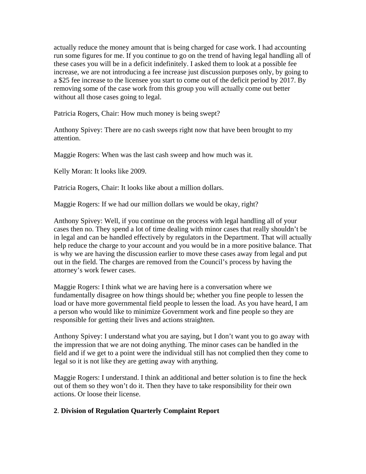actually reduce the money amount that is being charged for case work. I had accounting run some figures for me. If you continue to go on the trend of having legal handling all of these cases you will be in a deficit indefinitely. I asked them to look at a possible fee increase, we are not introducing a fee increase just discussion purposes only, by going to a \$25 fee increase to the licensee you start to come out of the deficit period by 2017. By removing some of the case work from this group you will actually come out better without all those cases going to legal.

Patricia Rogers, Chair: How much money is being swept?

Anthony Spivey: There are no cash sweeps right now that have been brought to my attention.

Maggie Rogers: When was the last cash sweep and how much was it.

Kelly Moran: It looks like 2009.

Patricia Rogers, Chair: It looks like about a million dollars.

Maggie Rogers: If we had our million dollars we would be okay, right?

Anthony Spivey: Well, if you continue on the process with legal handling all of your cases then no. They spend a lot of time dealing with minor cases that really shouldn't be in legal and can be handled effectively by regulators in the Department. That will actually help reduce the charge to your account and you would be in a more positive balance. That is why we are having the discussion earlier to move these cases away from legal and put out in the field. The charges are removed from the Council's process by having the attorney's work fewer cases.

Maggie Rogers: I think what we are having here is a conversation where we fundamentally disagree on how things should be; whether you fine people to lessen the load or have more governmental field people to lessen the load. As you have heard, I am a person who would like to minimize Government work and fine people so they are responsible for getting their lives and actions straighten.

Anthony Spivey: I understand what you are saying, but I don't want you to go away with the impression that we are not doing anything. The minor cases can be handled in the field and if we get to a point were the individual still has not complied then they come to legal so it is not like they are getting away with anything.

Maggie Rogers: I understand. I think an additional and better solution is to fine the heck out of them so they won't do it. Then they have to take responsibility for their own actions. Or loose their license.

#### **2**. **Division of Regulation Quarterly Complaint Report**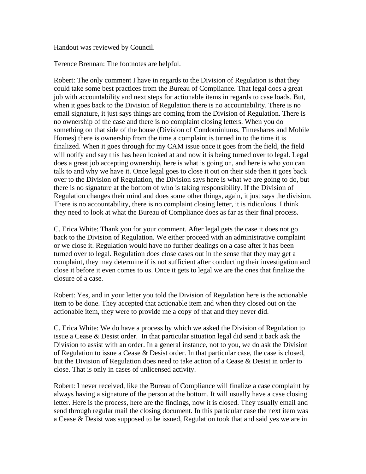Handout was reviewed by Council.

Terence Brennan: The footnotes are helpful.

Robert: The only comment I have in regards to the Division of Regulation is that they could take some best practices from the Bureau of Compliance. That legal does a great job with accountability and next steps for actionable items in regards to case loads. But, when it goes back to the Division of Regulation there is no accountability. There is no email signature, it just says things are coming from the Division of Regulation. There is no ownership of the case and there is no complaint closing letters. When you do something on that side of the house (Division of Condominiums, Timeshares and Mobile Homes) there is ownership from the time a complaint is turned in to the time it is finalized. When it goes through for my CAM issue once it goes from the field, the field will notify and say this has been looked at and now it is being turned over to legal. Legal does a great job accepting ownership, here is what is going on, and here is who you can talk to and why we have it. Once legal goes to close it out on their side then it goes back over to the Division of Regulation, the Division says here is what we are going to do, but there is no signature at the bottom of who is taking responsibility. If the Division of Regulation changes their mind and does some other things, again, it just says the division. There is no accountability, there is no complaint closing letter, it is ridiculous. I think they need to look at what the Bureau of Compliance does as far as their final process.

C. Erica White: Thank you for your comment. After legal gets the case it does not go back to the Division of Regulation. We either proceed with an administrative complaint or we close it. Regulation would have no further dealings on a case after it has been turned over to legal. Regulation does close cases out in the sense that they may get a complaint, they may determine if is not sufficient after conducting their investigation and close it before it even comes to us. Once it gets to legal we are the ones that finalize the closure of a case.

Robert: Yes, and in your letter you told the Division of Regulation here is the actionable item to be done. They accepted that actionable item and when they closed out on the actionable item, they were to provide me a copy of that and they never did.

C. Erica White: We do have a process by which we asked the Division of Regulation to issue a Cease & Desist order. In that particular situation legal did send it back ask the Division to assist with an order. In a general instance, not to you, we do ask the Division of Regulation to issue a Cease & Desist order. In that particular case, the case is closed, but the Division of Regulation does need to take action of a Cease & Desist in order to close. That is only in cases of unlicensed activity.

Robert: I never received, like the Bureau of Compliance will finalize a case complaint by always having a signature of the person at the bottom. It will usually have a case closing letter. Here is the process, here are the findings, now it is closed. They usually email and send through regular mail the closing document. In this particular case the next item was a Cease & Desist was supposed to be issued, Regulation took that and said yes we are in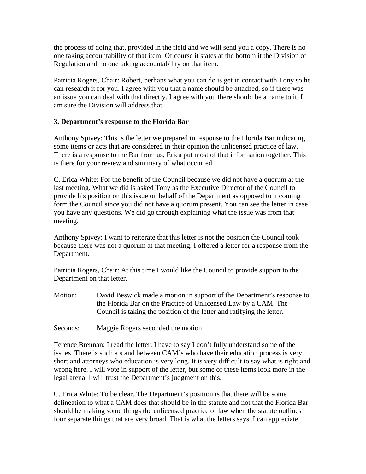the process of doing that, provided in the field and we will send you a copy. There is no one taking accountability of that item. Of course it states at the bottom it the Division of Regulation and no one taking accountability on that item.

Patricia Rogers, Chair: Robert, perhaps what you can do is get in contact with Tony so he can research it for you. I agree with you that a name should be attached, so if there was an issue you can deal with that directly. I agree with you there should be a name to it. I am sure the Division will address that.

### **3. Department's response to the Florida Bar**

Anthony Spivey: This is the letter we prepared in response to the Florida Bar indicating some items or acts that are considered in their opinion the unlicensed practice of law. There is a response to the Bar from us, Erica put most of that information together. This is there for your review and summary of what occurred.

C. Erica White: For the benefit of the Council because we did not have a quorum at the last meeting. What we did is asked Tony as the Executive Director of the Council to provide his position on this issue on behalf of the Department as opposed to it coming form the Council since you did not have a quorum present. You can see the letter in case you have any questions. We did go through explaining what the issue was from that meeting.

Anthony Spivey: I want to reiterate that this letter is not the position the Council took because there was not a quorum at that meeting. I offered a letter for a response from the Department.

Patricia Rogers, Chair: At this time I would like the Council to provide support to the Department on that letter.

Motion: David Beswick made a motion in support of the Department's response to the Florida Bar on the Practice of Unlicensed Law by a CAM. The Council is taking the position of the letter and ratifying the letter.

Seconds: Maggie Rogers seconded the motion.

Terence Brennan: I read the letter. I have to say I don't fully understand some of the issues. There is such a stand between CAM's who have their education process is very short and attorneys who education is very long. It is very difficult to say what is right and wrong here. I will vote in support of the letter, but some of these items look more in the legal arena. I will trust the Department's judgment on this.

C. Erica White: To be clear. The Department's position is that there will be some delineation to what a CAM does that should be in the statute and not that the Florida Bar should be making some things the unlicensed practice of law when the statute outlines four separate things that are very broad. That is what the letters says. I can appreciate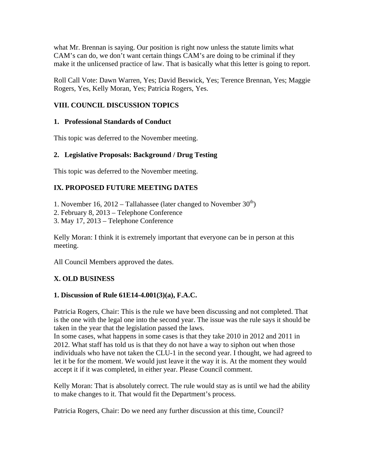what Mr. Brennan is saying. Our position is right now unless the statute limits what CAM's can do, we don't want certain things CAM's are doing to be criminal if they make it the unlicensed practice of law. That is basically what this letter is going to report.

Roll Call Vote: Dawn Warren, Yes; David Beswick, Yes; Terence Brennan, Yes; Maggie Rogers, Yes, Kelly Moran, Yes; Patricia Rogers, Yes.

## **VIII. COUNCIL DISCUSSION TOPICS**

### **1. Professional Standards of Conduct**

This topic was deferred to the November meeting.

## **2. Legislative Proposals: Background / Drug Testing**

This topic was deferred to the November meeting.

## **IX. PROPOSED FUTURE MEETING DATES**

- 1. November 16, 2012 Tallahassee (later changed to November  $30<sup>th</sup>$ )
- 2. February 8, 2013 Telephone Conference
- 3. May 17, 2013 Telephone Conference

Kelly Moran: I think it is extremely important that everyone can be in person at this meeting.

All Council Members approved the dates.

## **X. OLD BUSINESS**

### **1. Discussion of Rule 61E14-4.001(3)(a), F.A.C.**

Patricia Rogers, Chair: This is the rule we have been discussing and not completed. That is the one with the legal one into the second year. The issue was the rule says it should be taken in the year that the legislation passed the laws.

In some cases, what happens in some cases is that they take 2010 in 2012 and 2011 in 2012. What staff has told us is that they do not have a way to siphon out when those individuals who have not taken the CLU-1 in the second year. I thought, we had agreed to let it be for the moment. We would just leave it the way it is. At the moment they would accept it if it was completed, in either year. Please Council comment.

Kelly Moran: That is absolutely correct. The rule would stay as is until we had the ability to make changes to it. That would fit the Department's process.

Patricia Rogers, Chair: Do we need any further discussion at this time, Council?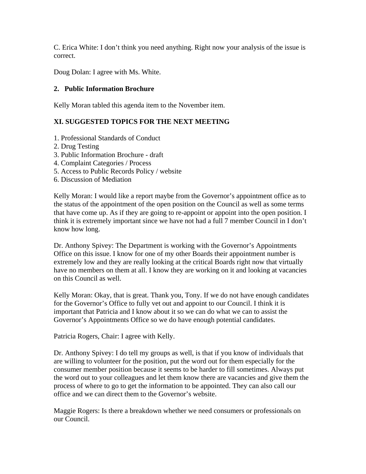C. Erica White: I don't think you need anything. Right now your analysis of the issue is correct.

Doug Dolan: I agree with Ms. White.

### **2. Public Information Brochure**

Kelly Moran tabled this agenda item to the November item.

## **XI. SUGGESTED TOPICS FOR THE NEXT MEETING**

- 1. Professional Standards of Conduct
- 2. Drug Testing
- 3. Public Information Brochure draft
- 4. Complaint Categories / Process
- 5. Access to Public Records Policy / website
- 6. Discussion of Mediation

Kelly Moran: I would like a report maybe from the Governor's appointment office as to the status of the appointment of the open position on the Council as well as some terms that have come up. As if they are going to re-appoint or appoint into the open position. I think it is extremely important since we have not had a full 7 member Council in I don't know how long.

Dr. Anthony Spivey: The Department is working with the Governor's Appointments Office on this issue. I know for one of my other Boards their appointment number is extremely low and they are really looking at the critical Boards right now that virtually have no members on them at all. I know they are working on it and looking at vacancies on this Council as well.

Kelly Moran: Okay, that is great. Thank you, Tony. If we do not have enough candidates for the Governor's Office to fully vet out and appoint to our Council. I think it is important that Patricia and I know about it so we can do what we can to assist the Governor's Appointments Office so we do have enough potential candidates.

Patricia Rogers, Chair: I agree with Kelly.

Dr. Anthony Spivey: I do tell my groups as well, is that if you know of individuals that are willing to volunteer for the position, put the word out for them especially for the consumer member position because it seems to be harder to fill sometimes. Always put the word out to your colleagues and let them know there are vacancies and give them the process of where to go to get the information to be appointed. They can also call our office and we can direct them to the Governor's website.

Maggie Rogers: Is there a breakdown whether we need consumers or professionals on our Council.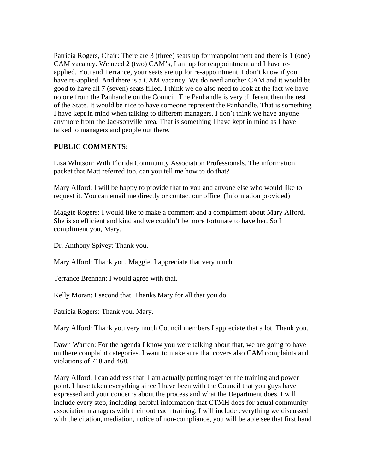Patricia Rogers, Chair: There are 3 (three) seats up for reappointment and there is 1 (one) CAM vacancy. We need 2 (two) CAM's, I am up for reappointment and I have reapplied. You and Terrance, your seats are up for re-appointment. I don't know if you have re-applied. And there is a CAM vacancy. We do need another CAM and it would be good to have all 7 (seven) seats filled. I think we do also need to look at the fact we have no one from the Panhandle on the Council. The Panhandle is very different then the rest of the State. It would be nice to have someone represent the Panhandle. That is something I have kept in mind when talking to different managers. I don't think we have anyone anymore from the Jacksonville area. That is something I have kept in mind as I have talked to managers and people out there.

### **PUBLIC COMMENTS:**

Lisa Whitson: With Florida Community Association Professionals. The information packet that Matt referred too, can you tell me how to do that?

Mary Alford: I will be happy to provide that to you and anyone else who would like to request it. You can email me directly or contact our office. (Information provided)

Maggie Rogers: I would like to make a comment and a compliment about Mary Alford. She is so efficient and kind and we couldn't be more fortunate to have her. So I compliment you, Mary.

Dr. Anthony Spivey: Thank you.

Mary Alford: Thank you, Maggie. I appreciate that very much.

Terrance Brennan: I would agree with that.

Kelly Moran: I second that. Thanks Mary for all that you do.

Patricia Rogers: Thank you, Mary.

Mary Alford: Thank you very much Council members I appreciate that a lot. Thank you.

Dawn Warren: For the agenda I know you were talking about that, we are going to have on there complaint categories. I want to make sure that covers also CAM complaints and violations of 718 and 468.

Mary Alford: I can address that. I am actually putting together the training and power point. I have taken everything since I have been with the Council that you guys have expressed and your concerns about the process and what the Department does. I will include every step, including helpful information that CTMH does for actual community association managers with their outreach training. I will include everything we discussed with the citation, mediation, notice of non-compliance, you will be able see that first hand